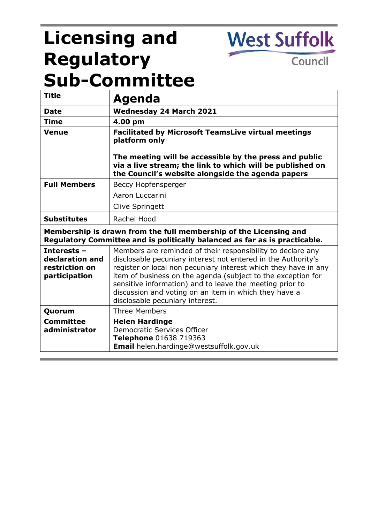# **Licensing and Regulatory Sub-Committee**

**West Suffolk** 

Council

| <b>Title</b>                                                                                                                                    | Agenda                                                                                                                                                                                                                                                                                                                                                                                                                  |
|-------------------------------------------------------------------------------------------------------------------------------------------------|-------------------------------------------------------------------------------------------------------------------------------------------------------------------------------------------------------------------------------------------------------------------------------------------------------------------------------------------------------------------------------------------------------------------------|
| <b>Date</b>                                                                                                                                     | <b>Wednesday 24 March 2021</b>                                                                                                                                                                                                                                                                                                                                                                                          |
| <b>Time</b>                                                                                                                                     | 4.00 pm                                                                                                                                                                                                                                                                                                                                                                                                                 |
| Venue                                                                                                                                           | <b>Facilitated by Microsoft TeamsLive virtual meetings</b><br>platform only                                                                                                                                                                                                                                                                                                                                             |
|                                                                                                                                                 | The meeting will be accessible by the press and public<br>via a live stream; the link to which will be published on<br>the Council's website alongside the agenda papers                                                                                                                                                                                                                                                |
| <b>Full Members</b>                                                                                                                             | Beccy Hopfensperger                                                                                                                                                                                                                                                                                                                                                                                                     |
|                                                                                                                                                 | Aaron Luccarini                                                                                                                                                                                                                                                                                                                                                                                                         |
|                                                                                                                                                 | Clive Springett                                                                                                                                                                                                                                                                                                                                                                                                         |
| <b>Substitutes</b>                                                                                                                              | Rachel Hood                                                                                                                                                                                                                                                                                                                                                                                                             |
| Membership is drawn from the full membership of the Licensing and<br>Regulatory Committee and is politically balanced as far as is practicable. |                                                                                                                                                                                                                                                                                                                                                                                                                         |
| Interests -<br>declaration and<br>restriction on<br>participation                                                                               | Members are reminded of their responsibility to declare any<br>disclosable pecuniary interest not entered in the Authority's<br>register or local non pecuniary interest which they have in any<br>item of business on the agenda (subject to the exception for<br>sensitive information) and to leave the meeting prior to<br>discussion and voting on an item in which they have a<br>disclosable pecuniary interest. |
| Quorum                                                                                                                                          | <b>Three Members</b>                                                                                                                                                                                                                                                                                                                                                                                                    |
| <b>Committee</b><br>administrator                                                                                                               | <b>Helen Hardinge</b><br><b>Democratic Services Officer</b><br>Telephone 01638 719363<br>Email helen.hardinge@westsuffolk.gov.uk                                                                                                                                                                                                                                                                                        |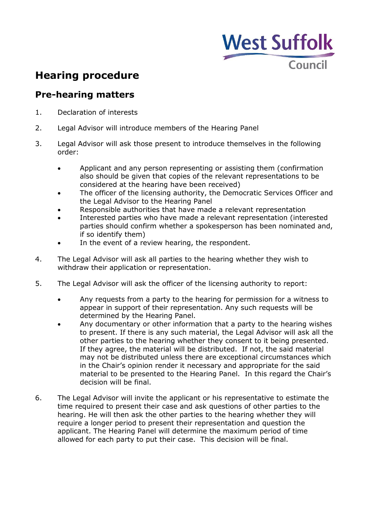

# **Hearing procedure**

### **Pre-hearing matters**

- 1. Declaration of interests
- 2. Legal Advisor will introduce members of the Hearing Panel
- 3. Legal Advisor will ask those present to introduce themselves in the following order:
	- Applicant and any person representing or assisting them (confirmation also should be given that copies of the relevant representations to be considered at the hearing have been received)
	- The officer of the licensing authority, the Democratic Services Officer and the Legal Advisor to the Hearing Panel
	- Responsible authorities that have made a relevant representation
	- Interested parties who have made a relevant representation (interested parties should confirm whether a spokesperson has been nominated and, if so identify them)
	- In the event of a review hearing, the respondent.
- 4. The Legal Advisor will ask all parties to the hearing whether they wish to withdraw their application or representation.
- 5. The Legal Advisor will ask the officer of the licensing authority to report:
	- Any requests from a party to the hearing for permission for a witness to appear in support of their representation. Any such requests will be determined by the Hearing Panel.
	- Any documentary or other information that a party to the hearing wishes to present. If there is any such material, the Legal Advisor will ask all the other parties to the hearing whether they consent to it being presented. If they agree, the material will be distributed. If not, the said material may not be distributed unless there are exceptional circumstances which in the Chair's opinion render it necessary and appropriate for the said material to be presented to the Hearing Panel. In this regard the Chair's decision will be final.
- 6. The Legal Advisor will invite the applicant or his representative to estimate the time required to present their case and ask questions of other parties to the hearing. He will then ask the other parties to the hearing whether they will require a longer period to present their representation and question the applicant. The Hearing Panel will determine the maximum period of time allowed for each party to put their case. This decision will be final.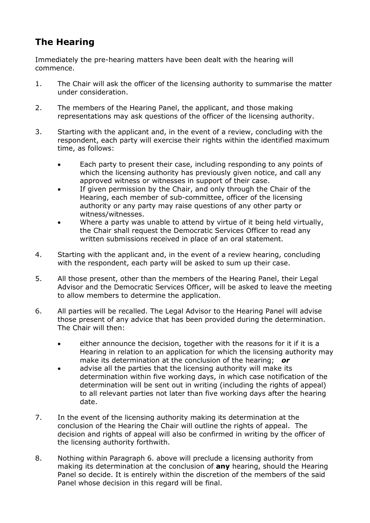## **The Hearing**

Immediately the pre-hearing matters have been dealt with the hearing will commence.

- 1. The Chair will ask the officer of the licensing authority to summarise the matter under consideration.
- 2. The members of the Hearing Panel, the applicant, and those making representations may ask questions of the officer of the licensing authority.
- 3. Starting with the applicant and, in the event of a review, concluding with the respondent, each party will exercise their rights within the identified maximum time, as follows:
	- Each party to present their case, including responding to any points of which the licensing authority has previously given notice, and call any approved witness or witnesses in support of their case.
	- If given permission by the Chair, and only through the Chair of the Hearing, each member of sub-committee, officer of the licensing authority or any party may raise questions of any other party or witness/witnesses.
	- Where a party was unable to attend by virtue of it being held virtually, the Chair shall request the Democratic Services Officer to read any written submissions received in place of an oral statement.
- 4. Starting with the applicant and, in the event of a review hearing, concluding with the respondent, each party will be asked to sum up their case.
- 5. All those present, other than the members of the Hearing Panel, their Legal Advisor and the Democratic Services Officer, will be asked to leave the meeting to allow members to determine the application.
- 6. All parties will be recalled. The Legal Advisor to the Hearing Panel will advise those present of any advice that has been provided during the determination. The Chair will then:
	- either announce the decision, together with the reasons for it if it is a Hearing in relation to an application for which the licensing authority may make its determination at the conclusion of the hearing; *or*
	- advise all the parties that the licensing authority will make its determination within five working days, in which case notification of the determination will be sent out in writing (including the rights of appeal) to all relevant parties not later than five working days after the hearing date.
- 7. In the event of the licensing authority making its determination at the conclusion of the Hearing the Chair will outline the rights of appeal. The decision and rights of appeal will also be confirmed in writing by the officer of the licensing authority forthwith.
- 8. Nothing within Paragraph 6. above will preclude a licensing authority from making its determination at the conclusion of **any** hearing, should the Hearing Panel so decide. It is entirely within the discretion of the members of the said Panel whose decision in this regard will be final.